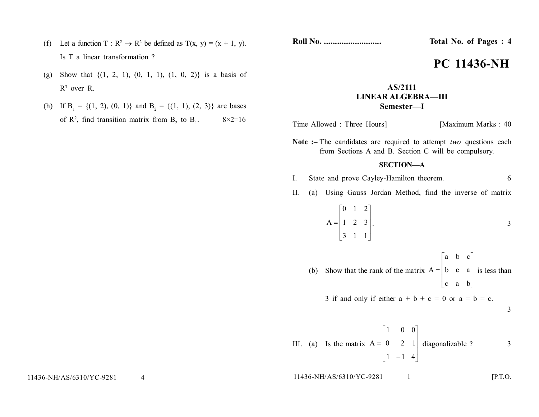- (f) Let a function T:  $\mathbb{R}^2 \to \mathbb{R}^2$  be defined as  $T(x, y) = (x + 1, y)$ . Is T a linear transformation ?
- (g) Show that  $\{(1, 2, 1), (0, 1, 1), (1, 0, 2)\}$  is a basis of  $R^3$  over R.
- (h) If  $B_1 = \{(1, 2), (0, 1)\}\$  and  $B_2 = \{(1, 1), (2, 3)\}\$  are bases of  $\mathbb{R}^2$ , find transition matrix from  $\mathbb{B}_2$  to  $\mathbb{B}_1$  $8 \times 2 = 16$

**Roll No. .......................... Total No. of Pages : 4**

# **PC 11436-NH**

## **AS/2111 LINEAR ALGEBRA—III Semester—I**

Time Allowed : Three Hours] [Maximum Marks : 40]

**Note :–** The candidates are required to attempt *two* questions each from Sections A and B. Section C will be compulsory.

### **SECTION—A**

- I. State and prove Cayley-Hamilton theorem. 6
- II. (a) Using Gauss Jordan Method, find the inverse of matrix

$$
A = \begin{bmatrix} 0 & 1 & 2 \\ 1 & 2 & 3 \\ 3 & 1 & 1 \end{bmatrix}.
$$

(b) Show that the rank of the matrix  $A = \begin{bmatrix} b & c & a \end{bmatrix}$  $\left| \right|$  $\overline{\phantom{a}}$  $\rfloor$  $|a \t b \t c|$ L c a b  $A = \begin{bmatrix} b & c & a \end{bmatrix}$  is less than

3 if and only if either  $a + b + c = 0$  or  $a = b = c$ .

$$
\mathbf{3}^{\prime}
$$

III. (a) Is the matrix 
$$
A = \begin{bmatrix} 1 & 0 & 0 \\ 0 & 2 & 1 \\ 1 & -1 & 4 \end{bmatrix}
$$
 diagonalizable ?

11436-NH/AS/6310/YC-9281 1 [P.T.O.]

11436-NH/AS/6310/YC-9281 4